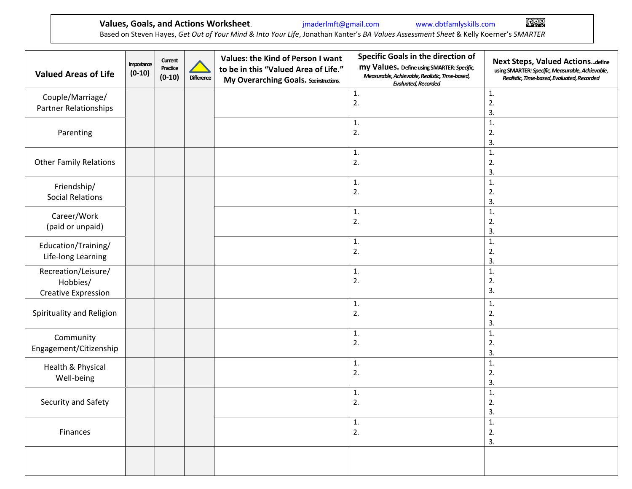**Values, Goals, and Actions Worksheet**. *[jmaderlmft@gmail.com](mailto:jmaderlmft@gmail.com)* www.dbtfamlyskills.com

Based on Steven Hayes, *Get Out of Your Mind & Into Your Life*, Jonathan Kanter's *BA Values Assessment Sheet* & Kelly Koerner's *SMARTER*

| <b>Valued Areas of Life</b>                                   | Importance<br>$(0-10)$ | Current<br>Practice<br>$(0-10)$ | <b>Difference</b> | Values: the Kind of Person I want<br>to be in this "Valued Area of Life."<br>My Overarching Goals. Seeinstructions. | Specific Goals in the direction of<br>my Values. Define using SMARTER: Specific,<br>Measurable, Achievable, Realistic, Time-based,<br><b>Evaluated, Recorded</b> | <b>Next Steps, Valued Actionsdefine</b><br>using SMARTER: Specific, Measurable, Achievable,<br>Realistic, Time-based, Evaluated, Recorded |
|---------------------------------------------------------------|------------------------|---------------------------------|-------------------|---------------------------------------------------------------------------------------------------------------------|------------------------------------------------------------------------------------------------------------------------------------------------------------------|-------------------------------------------------------------------------------------------------------------------------------------------|
| Couple/Marriage/<br>Partner Relationships                     |                        |                                 |                   |                                                                                                                     | $\mathbf{1}$ .<br>$\overline{2}$ .                                                                                                                               | 1.<br>$\overline{2}$ .<br>3.                                                                                                              |
| Parenting                                                     |                        |                                 |                   |                                                                                                                     | 1.<br>2.                                                                                                                                                         | 1.<br>2.<br>3.                                                                                                                            |
| <b>Other Family Relations</b>                                 |                        |                                 |                   |                                                                                                                     | $\mathbf{1}$ .<br>2.                                                                                                                                             | $\mathbf{1}$ .<br>2.<br>3.                                                                                                                |
| Friendship/<br><b>Social Relations</b>                        |                        |                                 |                   |                                                                                                                     | 1.<br>2.                                                                                                                                                         | 1.<br>2.<br>3.                                                                                                                            |
| Career/Work<br>(paid or unpaid)                               |                        |                                 |                   |                                                                                                                     | 1.<br>2.                                                                                                                                                         | $\mathbf{1}$<br>$\overline{2}$ .<br>3.                                                                                                    |
| Education/Training/<br>Life-long Learning                     |                        |                                 |                   |                                                                                                                     | 1.<br>$\overline{2}$ .                                                                                                                                           | 1.<br>$\overline{2}$ .<br>3.                                                                                                              |
| Recreation/Leisure/<br>Hobbies/<br><b>Creative Expression</b> |                        |                                 |                   |                                                                                                                     | 1.<br>2.                                                                                                                                                         | 1.<br>2.<br>3.                                                                                                                            |
| Spirituality and Religion                                     |                        |                                 |                   |                                                                                                                     | 1.<br>$\overline{2}$ .                                                                                                                                           | 1.<br>$\overline{2}$ .<br>3.                                                                                                              |
| Community<br>Engagement/Citizenship                           |                        |                                 |                   |                                                                                                                     | 1.<br>2.                                                                                                                                                         | $\mathbf{1}$ .<br>2.<br>3.                                                                                                                |
| Health & Physical<br>Well-being                               |                        |                                 |                   |                                                                                                                     | 1.<br>2.                                                                                                                                                         | $\mathbf{1}$<br>2.<br>3.                                                                                                                  |
| Security and Safety                                           |                        |                                 |                   |                                                                                                                     | 1.<br>2.                                                                                                                                                         | $\mathbf{1}$<br>2.<br>3.                                                                                                                  |
| Finances                                                      |                        |                                 |                   |                                                                                                                     | 1.<br>2.                                                                                                                                                         | 1.<br>2.<br>3.                                                                                                                            |
|                                                               |                        |                                 |                   |                                                                                                                     |                                                                                                                                                                  |                                                                                                                                           |